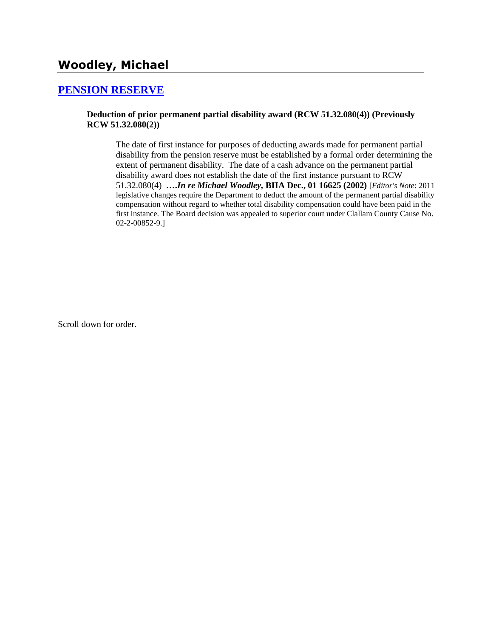## **[PENSION RESERVE](http://www.biia.wa.gov/SDSubjectIndex.html#PENSION_RESERVE)**

### **Deduction of prior permanent partial disability award (RCW 51.32.080(4)) (Previously RCW 51.32.080(2))**

The date of first instance for purposes of deducting awards made for permanent partial disability from the pension reserve must be established by a formal order determining the extent of permanent disability. The date of a cash advance on the permanent partial disability award does not establish the date of the first instance pursuant to RCW 51.32.080(4) **….***In re Michael Woodley,* **BIIA Dec., 01 16625 (2002)** [*Editor's Note*: 2011 legislative changes require the Department to deduct the amount of the permanent partial disability compensation without regard to whether total disability compensation could have been paid in the first instance. The Board decision was appealed to superior court under Clallam County Cause No. 02-2-00852-9.]

Scroll down for order.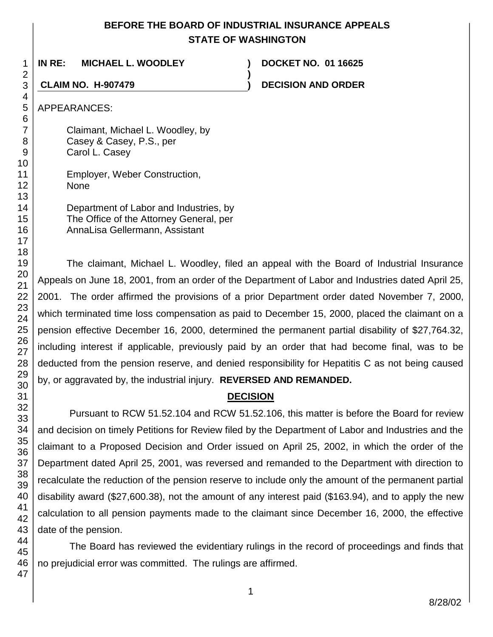## **BEFORE THE BOARD OF INDUSTRIAL INSURANCE APPEALS STATE OF WASHINGTON**

**)**

**IN RE: MICHAEL L. WOODLEY ) DOCKET NO. 01 16625**

**CLAIM NO. H-907479 ) DECISION AND ORDER**

APPEARANCES:

Claimant, Michael L. Woodley, by Casey & Casey, P.S., per Carol L. Casey

Employer, Weber Construction, None

Department of Labor and Industries, by The Office of the Attorney General, per AnnaLisa Gellermann, Assistant

The claimant, Michael L. Woodley, filed an appeal with the Board of Industrial Insurance Appeals on June 18, 2001, from an order of the Department of Labor and Industries dated April 25, 2001. The order affirmed the provisions of a prior Department order dated November 7, 2000, which terminated time loss compensation as paid to December 15, 2000, placed the claimant on a pension effective December 16, 2000, determined the permanent partial disability of \$27,764.32, including interest if applicable, previously paid by an order that had become final, was to be deducted from the pension reserve, and denied responsibility for Hepatitis C as not being caused by, or aggravated by, the industrial injury. **REVERSED AND REMANDED.**

# **DECISION**

Pursuant to RCW 51.52.104 and RCW 51.52.106, this matter is before the Board for review and decision on timely Petitions for Review filed by the Department of Labor and Industries and the claimant to a Proposed Decision and Order issued on April 25, 2002, in which the order of the Department dated April 25, 2001, was reversed and remanded to the Department with direction to recalculate the reduction of the pension reserve to include only the amount of the permanent partial disability award (\$27,600.38), not the amount of any interest paid (\$163.94), and to apply the new calculation to all pension payments made to the claimant since December 16, 2000, the effective date of the pension.

The Board has reviewed the evidentiary rulings in the record of proceedings and finds that no prejudicial error was committed. The rulings are affirmed.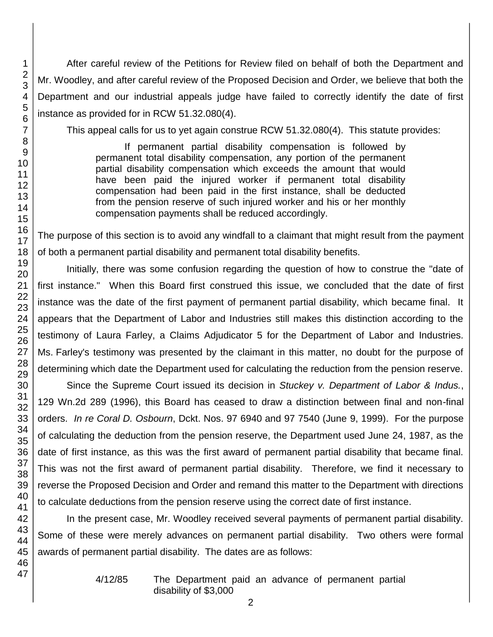After careful review of the Petitions for Review filed on behalf of both the Department and Mr. Woodley, and after careful review of the Proposed Decision and Order, we believe that both the Department and our industrial appeals judge have failed to correctly identify the date of first instance as provided for in RCW 51.32.080(4).

This appeal calls for us to yet again construe RCW 51.32.080(4). This statute provides:

If permanent partial disability compensation is followed by permanent total disability compensation, any portion of the permanent partial disability compensation which exceeds the amount that would have been paid the injured worker if permanent total disability compensation had been paid in the first instance, shall be deducted from the pension reserve of such injured worker and his or her monthly compensation payments shall be reduced accordingly.

The purpose of this section is to avoid any windfall to a claimant that might result from the payment of both a permanent partial disability and permanent total disability benefits.

Initially, there was some confusion regarding the question of how to construe the "date of first instance." When this Board first construed this issue, we concluded that the date of first instance was the date of the first payment of permanent partial disability, which became final. It appears that the Department of Labor and Industries still makes this distinction according to the testimony of Laura Farley, a Claims Adjudicator 5 for the Department of Labor and Industries. Ms. Farley's testimony was presented by the claimant in this matter, no doubt for the purpose of determining which date the Department used for calculating the reduction from the pension reserve.

Since the Supreme Court issued its decision in *Stuckey v. Department of Labor & Indus.*, 129 Wn.2d 289 (1996), this Board has ceased to draw a distinction between final and non-final orders. *In re Coral D. Osbourn*, Dckt. Nos. 97 6940 and 97 7540 (June 9, 1999). For the purpose of calculating the deduction from the pension reserve, the Department used June 24, 1987, as the date of first instance, as this was the first award of permanent partial disability that became final. This was not the first award of permanent partial disability. Therefore, we find it necessary to reverse the Proposed Decision and Order and remand this matter to the Department with directions to calculate deductions from the pension reserve using the correct date of first instance.

In the present case, Mr. Woodley received several payments of permanent partial disability. Some of these were merely advances on permanent partial disability. Two others were formal awards of permanent partial disability. The dates are as follows:

4/12/85 The Department paid an advance of permanent partial disability of \$3,000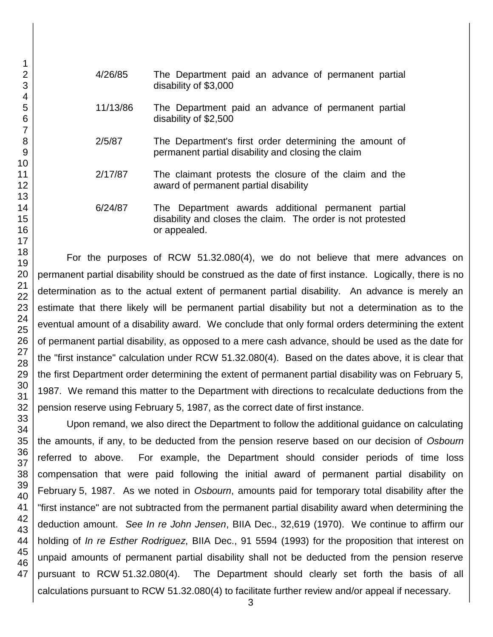- 1 2 3 4 5 6 7 8 9 10 11 12 13 14 15 16 17 18 19 20 21 22 23 24 25 26 27 28 29 30 31 32 33 34 35 36 37 38 39 40 41 42 43 44 45 46 47
- 4/26/85 The Department paid an advance of permanent partial disability of \$3,000
	- 11/13/86 The Department paid an advance of permanent partial disability of \$2,500
	- 2/5/87 The Department's first order determining the amount of permanent partial disability and closing the claim
- 2/17/87 The claimant protests the closure of the claim and the award of permanent partial disability
- 6/24/87 The Department awards additional permanent partial disability and closes the claim. The order is not protested or appealed.

For the purposes of RCW 51.32.080(4), we do not believe that mere advances on permanent partial disability should be construed as the date of first instance. Logically, there is no determination as to the actual extent of permanent partial disability. An advance is merely an estimate that there likely will be permanent partial disability but not a determination as to the eventual amount of a disability award. We conclude that only formal orders determining the extent of permanent partial disability, as opposed to a mere cash advance, should be used as the date for the "first instance" calculation under RCW 51.32.080(4). Based on the dates above, it is clear that the first Department order determining the extent of permanent partial disability was on February 5, 1987. We remand this matter to the Department with directions to recalculate deductions from the pension reserve using February 5, 1987, as the correct date of first instance.

Upon remand, we also direct the Department to follow the additional guidance on calculating the amounts, if any, to be deducted from the pension reserve based on our decision of *Osbourn* referred to above. For example, the Department should consider periods of time loss compensation that were paid following the initial award of permanent partial disability on February 5, 1987. As we noted in *Osbourn*, amounts paid for temporary total disability after the "first instance" are not subtracted from the permanent partial disability award when determining the deduction amount. *See In re John Jensen*, BIIA Dec., 32,619 (1970). We continue to affirm our holding of *In re Esther Rodriguez*, BIIA Dec., 91 5594 (1993) for the proposition that interest on unpaid amounts of permanent partial disability shall not be deducted from the pension reserve pursuant to RCW 51.32.080(4). The Department should clearly set forth the basis of all calculations pursuant to RCW 51.32.080(4) to facilitate further review and/or appeal if necessary.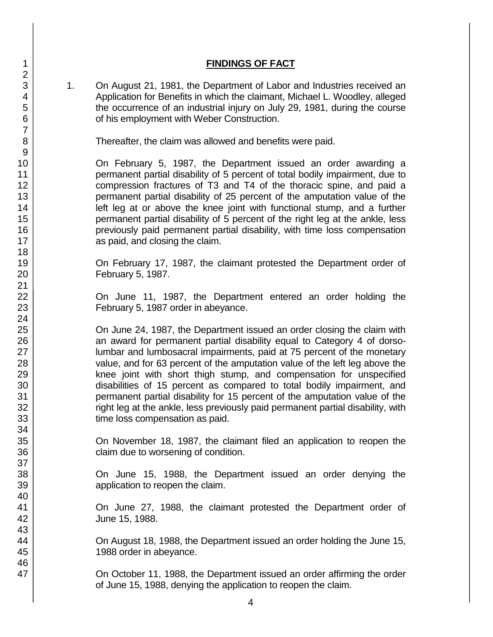### **FINDINGS OF FACT**

1. On August 21, 1981, the Department of Labor and Industries received an Application for Benefits in which the claimant, Michael L. Woodley, alleged the occurrence of an industrial injury on July 29, 1981, during the course of his employment with Weber Construction.

Thereafter, the claim was allowed and benefits were paid.

On February 5, 1987, the Department issued an order awarding a permanent partial disability of 5 percent of total bodily impairment, due to compression fractures of T3 and T4 of the thoracic spine, and paid a permanent partial disability of 25 percent of the amputation value of the left leg at or above the knee joint with functional stump, and a further permanent partial disability of 5 percent of the right leg at the ankle, less previously paid permanent partial disability, with time loss compensation as paid, and closing the claim.

On February 17, 1987, the claimant protested the Department order of February 5, 1987.

On June 11, 1987, the Department entered an order holding the February 5, 1987 order in abeyance.

On June 24, 1987, the Department issued an order closing the claim with an award for permanent partial disability equal to Category 4 of dorsolumbar and lumbosacral impairments, paid at 75 percent of the monetary value, and for 63 percent of the amputation value of the left leg above the knee joint with short thigh stump, and compensation for unspecified disabilities of 15 percent as compared to total bodily impairment, and permanent partial disability for 15 percent of the amputation value of the right leg at the ankle, less previously paid permanent partial disability, with time loss compensation as paid.

On November 18, 1987, the claimant filed an application to reopen the claim due to worsening of condition.

On June 15, 1988, the Department issued an order denying the application to reopen the claim.

On June 27, 1988, the claimant protested the Department order of June 15, 1988.

On August 18, 1988, the Department issued an order holding the June 15, 1988 order in abeyance.

On October 11, 1988, the Department issued an order affirming the order of June 15, 1988, denying the application to reopen the claim.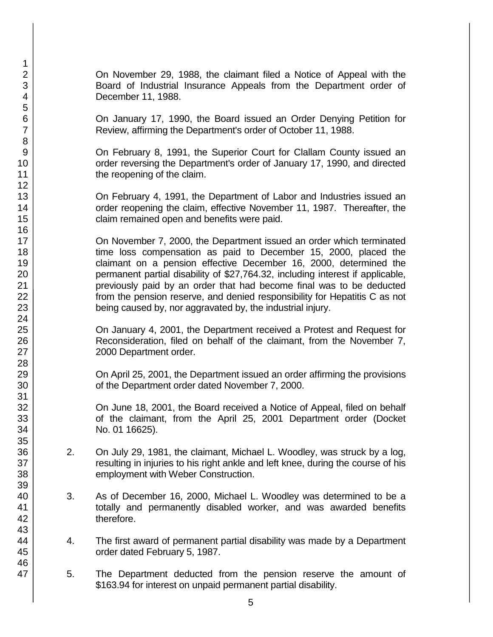On November 29, 1988, the claimant filed a Notice of Appeal with the Board of Industrial Insurance Appeals from the Department order of December 11, 1988.

On January 17, 1990, the Board issued an Order Denying Petition for Review, affirming the Department's order of October 11, 1988.

On February 8, 1991, the Superior Court for Clallam County issued an order reversing the Department's order of January 17, 1990, and directed the reopening of the claim.

On February 4, 1991, the Department of Labor and Industries issued an order reopening the claim, effective November 11, 1987. Thereafter, the claim remained open and benefits were paid.

On November 7, 2000, the Department issued an order which terminated time loss compensation as paid to December 15, 2000, placed the claimant on a pension effective December 16, 2000, determined the permanent partial disability of \$27,764.32, including interest if applicable, previously paid by an order that had become final was to be deducted from the pension reserve, and denied responsibility for Hepatitis C as not being caused by, nor aggravated by, the industrial injury.

On January 4, 2001, the Department received a Protest and Request for Reconsideration, filed on behalf of the claimant, from the November 7, 2000 Department order.

On April 25, 2001, the Department issued an order affirming the provisions of the Department order dated November 7, 2000.

On June 18, 2001, the Board received a Notice of Appeal, filed on behalf of the claimant, from the April 25, 2001 Department order (Docket No. 01 16625).

- 2. On July 29, 1981, the claimant, Michael L. Woodley, was struck by a log, resulting in injuries to his right ankle and left knee, during the course of his employment with Weber Construction.
- 3. As of December 16, 2000, Michael L. Woodley was determined to be a totally and permanently disabled worker, and was awarded benefits therefore.
- 4. The first award of permanent partial disability was made by a Department order dated February 5, 1987.
- 5. The Department deducted from the pension reserve the amount of \$163.94 for interest on unpaid permanent partial disability.